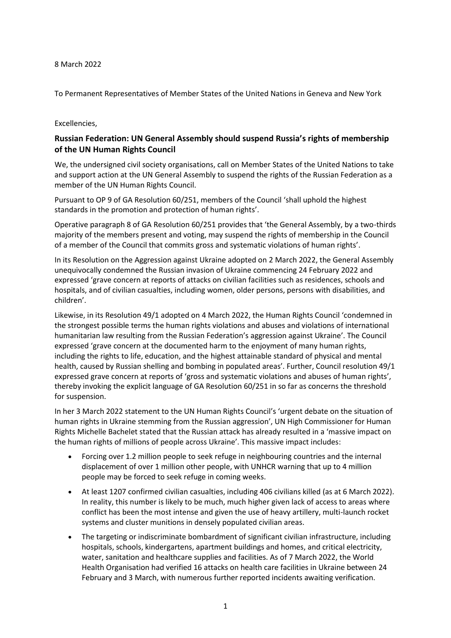## 8 March 2022

To Permanent Representatives of Member States of the United Nations in Geneva and New York

## Excellencies,

## **Russian Federation: UN General Assembly should suspend Russia's rights of membership of the UN Human Rights Council**

We, the undersigned civil society organisations, call on Member States of the United Nations to take and support action at the UN General Assembly to suspend the rights of the Russian Federation as a member of the UN Human Rights Council.

Pursuant to OP 9 of GA Resolution 60/251, members of the Council 'shall uphold the highest standards in the promotion and protection of human rights'.

Operative paragraph 8 of GA Resolution 60/251 provides that 'the General Assembly, by a two-thirds majority of the members present and voting, may suspend the rights of membership in the Council of a member of the Council that commits gross and systematic violations of human rights'.

In its Resolution on the Aggression against Ukraine adopted on 2 March 2022, the General Assembly unequivocally condemned the Russian invasion of Ukraine commencing 24 February 2022 and expressed 'grave concern at reports of attacks on civilian facilities such as residences, schools and hospitals, and of civilian casualties, including women, older persons, persons with disabilities, and children'.

Likewise, in its Resolution 49/1 adopted on 4 March 2022, the Human Rights Council 'condemned in the strongest possible terms the human rights violations and abuses and violations of international humanitarian law resulting from the Russian Federation's aggression against Ukraine'. The Council expressed 'grave concern at the documented harm to the enjoyment of many human rights, including the rights to life, education, and the highest attainable standard of physical and mental health, caused by Russian shelling and bombing in populated areas'. Further, Council resolution 49/1 expressed grave concern at reports of 'gross and systematic violations and abuses of human rights', thereby invoking the explicit language of GA Resolution 60/251 in so far as concerns the threshold for suspension.

In her 3 March 2022 statement to the UN Human Rights Council's 'urgent debate on the situation of human rights in Ukraine stemming from the Russian aggression', UN High Commissioner for Human Rights Michelle Bachelet stated that the Russian attack has already resulted in a 'massive impact on the human rights of millions of people across Ukraine'. This massive impact includes:

- Forcing over 1.2 million people to seek refuge in neighbouring countries and the internal displacement of over 1 million other people, with UNHCR warning that up to 4 million people may be forced to seek refuge in coming weeks.
- At least 1207 confirmed civilian casualties, including 406 civilians killed (as at 6 March 2022). In reality, this number is likely to be much, much higher given lack of access to areas where conflict has been the most intense and given the use of heavy artillery, multi-launch rocket systems and cluster munitions in densely populated civilian areas.
- The targeting or indiscriminate bombardment of significant civilian infrastructure, including hospitals, schools, kindergartens, apartment buildings and homes, and critical electricity, water, sanitation and healthcare supplies and facilities. As of 7 March 2022, the World Health Organisation had verified 16 attacks on health care facilities in Ukraine between 24 February and 3 March, with numerous further reported incidents awaiting verification.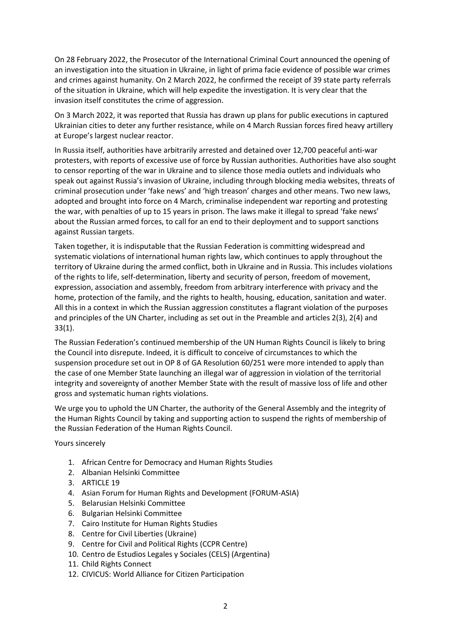On 28 February 2022, the Prosecutor of the International Criminal Court announced the opening of an investigation into the situation in Ukraine, in light of prima facie evidence of possible war crimes and crimes against humanity. On 2 March 2022, he confirmed the receipt of 39 state party referrals of the situation in Ukraine, which will help expedite the investigation. It is very clear that the invasion itself constitutes the crime of aggression.

On 3 March 2022, it was reported that Russia has drawn up plans for public executions in captured Ukrainian cities to deter any further resistance, while on 4 March Russian forces fired heavy artillery at Europe's largest nuclear reactor.

In Russia itself, authorities have arbitrarily arrested and detained over 12,700 peaceful anti-war protesters, with reports of excessive use of force by Russian authorities. Authorities have also sought to censor reporting of the war in Ukraine and to silence those media outlets and individuals who speak out against Russia's invasion of Ukraine, including through blocking media websites, threats of criminal prosecution under 'fake news' and 'high treason' charges and other means. Two new laws, adopted and brought into force on 4 March, criminalise independent war reporting and protesting the war, with penalties of up to 15 years in prison. The laws make it illegal to spread 'fake news' about the Russian armed forces, to call for an end to their deployment and to support sanctions against Russian targets.

Taken together, it is indisputable that the Russian Federation is committing widespread and systematic violations of international human rights law, which continues to apply throughout the territory of Ukraine during the armed conflict, both in Ukraine and in Russia. This includes violations of the rights to life, self-determination, liberty and security of person, freedom of movement, expression, association and assembly, freedom from arbitrary interference with privacy and the home, protection of the family, and the rights to health, housing, education, sanitation and water. All this in a context in which the Russian aggression constitutes a flagrant violation of the purposes and principles of the UN Charter, including as set out in the Preamble and articles 2(3), 2(4) and 33(1).

The Russian Federation's continued membership of the UN Human Rights Council is likely to bring the Council into disrepute. Indeed, it is difficult to conceive of circumstances to which the suspension procedure set out in OP 8 of GA Resolution 60/251 were more intended to apply than the case of one Member State launching an illegal war of aggression in violation of the territorial integrity and sovereignty of another Member State with the result of massive loss of life and other gross and systematic human rights violations.

We urge you to uphold the UN Charter, the authority of the General Assembly and the integrity of the Human Rights Council by taking and supporting action to suspend the rights of membership of the Russian Federation of the Human Rights Council.

Yours sincerely

- 1. African Centre for Democracy and Human Rights Studies
- 2. Albanian Helsinki Committee
- 3. ARTICLE 19
- 4. Asian Forum for Human Rights and Development (FORUM-ASIA)
- 5. Belarusian Helsinki Committee
- 6. Bulgarian Helsinki Committee
- 7. Cairo Institute for Human Rights Studies
- 8. Centre for Civil Liberties (Ukraine)
- 9. Centre for Civil and Political Rights (CCPR Centre)
- 10. Centro de Estudios Legales y Sociales (CELS) (Argentina)
- 11. Child Rights Connect
- 12. CIVICUS: World Alliance for Citizen Participation